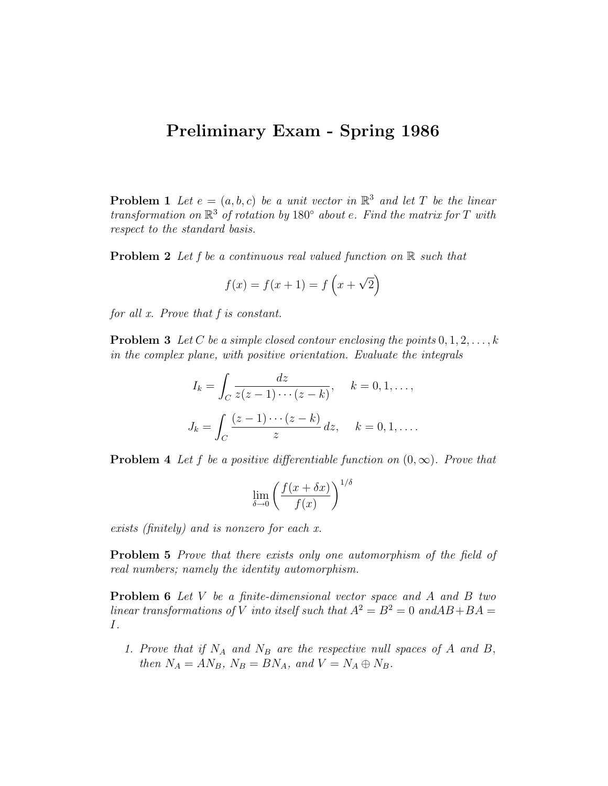## Preliminary Exam - Spring 1986

**Problem 1** Let  $e = (a, b, c)$  be a unit vector in  $\mathbb{R}^3$  and let T be the linear transformation on  $\mathbb{R}^3$  of rotation by 180 $\degree$  about e. Find the matrix for T with respect to the standard basis.

**Problem 2** Let f be a continuous real valued function on  $\mathbb{R}$  such that

$$
f(x) = f(x + 1) = f(x + \sqrt{2})
$$

for all x. Prove that f is constant.

**Problem 3** Let C be a simple closed contour enclosing the points  $0, 1, 2, \ldots, k$ in the complex plane, with positive orientation. Evaluate the integrals

$$
I_k = \int_C \frac{dz}{z(z-1)\cdots(z-k)}, \quad k = 0, 1, \ldots,
$$

$$
J_k = \int_C \frac{(z-1)\cdots(z-k)}{z} dz, \quad k = 0, 1, \ldots.
$$

**Problem 4** Let f be a positive differentiable function on  $(0, \infty)$ . Prove that

$$
\lim_{\delta \to 0} \left( \frac{f(x + \delta x)}{f(x)} \right)^{1/\delta}
$$

exists (finitely) and is nonzero for each x.

Problem 5 Prove that there exists only one automorphism of the field of real numbers; namely the identity automorphism.

Problem 6 Let V be a finite-dimensional vector space and A and B two linear transformations of V into itself such that  $A^2 = B^2 = 0$  and  $AB + BA =$ I.

1. Prove that if  $N_A$  and  $N_B$  are the respective null spaces of A and B, then  $N_A = AN_B$ ,  $N_B = BN_A$ , and  $V = N_A \oplus N_B$ .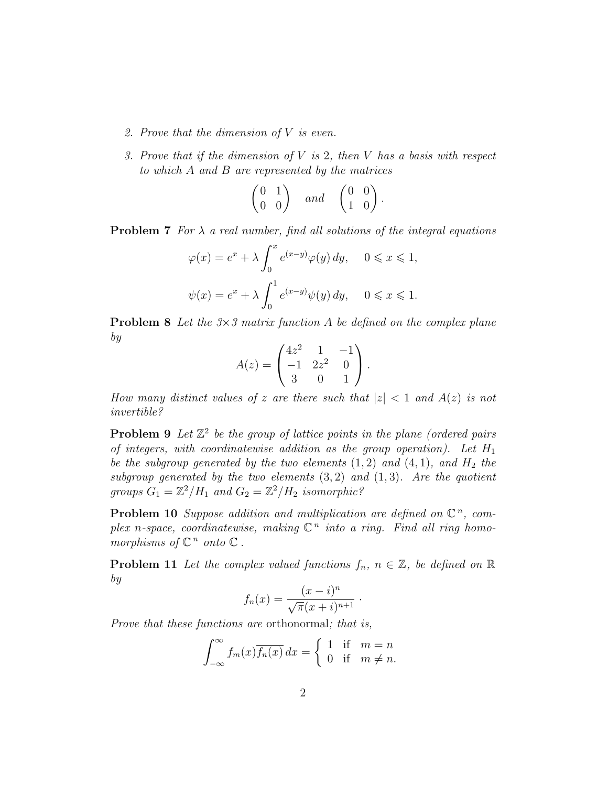- 2. Prove that the dimension of V is even.
- 3. Prove that if the dimension of  $V$  is 2, then  $V$  has a basis with respect to which A and B are represented by the matrices

$$
\begin{pmatrix} 0 & 1 \\ 0 & 0 \end{pmatrix} \quad and \quad \begin{pmatrix} 0 & 0 \\ 1 & 0 \end{pmatrix}.
$$

**Problem 7** For  $\lambda$  a real number, find all solutions of the integral equations

$$
\varphi(x) = e^x + \lambda \int_0^x e^{(x-y)} \varphi(y) dy, \quad 0 \le x \le 1,
$$
  

$$
\psi(x) = e^x + \lambda \int_0^1 e^{(x-y)} \psi(y) dy, \quad 0 \le x \le 1.
$$

**Problem 8** Let the  $3\times3$  matrix function A be defined on the complex plane by

$$
A(z) = \begin{pmatrix} 4z^2 & 1 & -1 \\ -1 & 2z^2 & 0 \\ 3 & 0 & 1 \end{pmatrix}.
$$

How many distinct values of z are there such that  $|z| < 1$  and  $A(z)$  is not invertible?

**Problem 9** Let  $\mathbb{Z}^2$  be the group of lattice points in the plane (ordered pairs of integers, with coordinatewise addition as the group operation). Let  $H_1$ be the subgroup generated by the two elements  $(1, 2)$  and  $(4, 1)$ , and  $H_2$  the subgroup generated by the two elements  $(3, 2)$  and  $(1, 3)$ . Are the quotient groups  $G_1 = \mathbb{Z}^2 / H_1$  and  $G_2 = \mathbb{Z}^2 / H_2$  isomorphic?

**Problem 10** Suppose addition and multiplication are defined on  $\mathbb{C}^n$ , complex n-space, coordinatewise, making  $\mathbb{C}^n$  into a ring. Find all ring homomorphisms of  $\mathbb{C}^n$  onto  $\mathbb{C}$ .

**Problem 11** Let the complex valued functions  $f_n$ ,  $n \in \mathbb{Z}$ , be defined on  $\mathbb{R}$ by

$$
f_n(x) = \frac{(x-i)^n}{\sqrt{\pi}(x+i)^{n+1}} \; .
$$

Prove that these functions are orthonormal; that is,

$$
\int_{-\infty}^{\infty} f_m(x) \overline{f_n(x)} dx = \begin{cases} 1 & \text{if } m = n \\ 0 & \text{if } m \neq n. \end{cases}
$$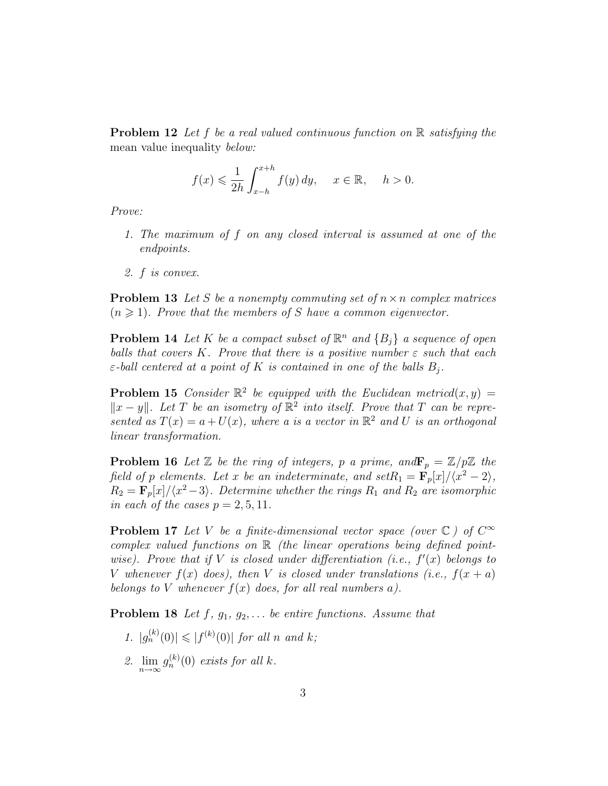**Problem 12** Let f be a real valued continuous function on  $\mathbb{R}$  satisfying the mean value inequality *below*:

$$
f(x) \leq \frac{1}{2h} \int_{x-h}^{x+h} f(y) \, dy, \quad x \in \mathbb{R}, \quad h > 0.
$$

Prove:

- 1. The maximum of f on any closed interval is assumed at one of the endpoints.
- 2. f is convex.

**Problem 13** Let S be a nonempty commuting set of  $n \times n$  complex matrices  $(n \geq 1)$ . Prove that the members of S have a common eigenvector.

**Problem 14** Let K be a compact subset of  $\mathbb{R}^n$  and  $\{B_j\}$  a sequence of open balls that covers K. Prove that there is a positive number  $\varepsilon$  such that each  $\varepsilon$ -ball centered at a point of K is contained in one of the balls  $B_j$ .

**Problem 15** Consider  $\mathbb{R}^2$  be equipped with the Euclidean metricd $(x, y) =$  $||x - y||$ . Let T be an isometry of  $\mathbb{R}^2$  into itself. Prove that T can be represented as  $T(x) = a + U(x)$ , where a is a vector in  $\mathbb{R}^2$  and U is an orthogonal linear transformation.

**Problem 16** Let  $\mathbb{Z}$  be the ring of integers, p a prime, and  $\mathbf{F}_p = \mathbb{Z}/p\mathbb{Z}$  the field of p elements. Let x be an indeterminate, and set $R_1 = \mathbf{F}_p[x]/\langle x^2 - 2 \rangle$ ,  $R_2 = \mathbf{F}_p[x]/\langle x^2-3\rangle$ . Determine whether the rings  $R_1$  and  $R_2$  are isomorphic in each of the cases  $p = 2, 5, 11$ .

**Problem 17** Let V be a finite-dimensional vector space (over  $\mathbb{C}$ ) of  $C^{\infty}$ complex valued functions on  $\mathbb R$  (the linear operations being defined pointwise). Prove that if V is closed under differentiation (i.e.,  $f'(x)$  belongs to V whenever  $f(x)$  does), then V is closed under translations (i.e.,  $f(x + a)$ ) belongs to V whenever  $f(x)$  does, for all real numbers a).

**Problem 18** Let  $f$ ,  $g_1$ ,  $g_2$ ,... be entire functions. Assume that

- 1.  $|g_n^{(k)}(0)| \leq |f^{(k)}(0)|$  for all n and k;
- 2.  $\lim_{n\to\infty} g_n^{(k)}(0)$  exists for all k.